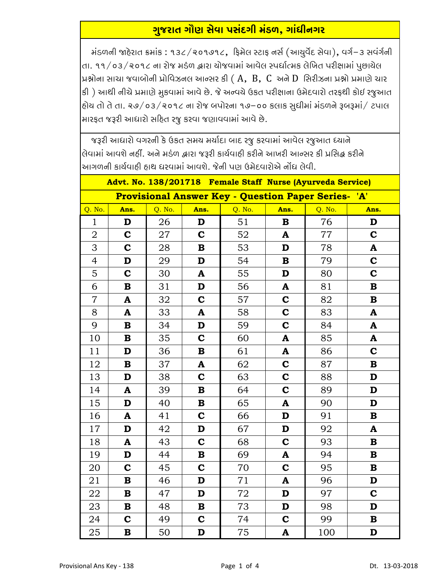## <u>ગુજરાત ગૌણ સેવા પસંદગી મંડળ, ગાંધીનગર</u>

મંડળની જાહેરાત ક્રમાંક : ૧૩૮/૨૦૧૭૧૮, ફિમેલ સ્ટાફ નર્સ (આયુર્વેદ સેવા), વર્ગ-૩ સવંર્ગની તા. ૧૧/૦૩/૨૦૧૮ ના રોજ મડંળ દ્વારા યોજવામાં આવેલ સ્પર્ધાત્મક લેખિત પરીક્ષામાં પુછાયેલ પ્રશ્નોના સાચા જવાબોની પ્રોવિઝનલ આન્સર કી ( $A$ ,  $B$ ,  $C$  અને  $D$  સિરીઝના પ્રશ્નો પ્રમાણે ચાર કી) આથી નીચે પ્રમાણે મુકવામાં આવે છે. જે અન્વચે ઉકત પરીક્ષાના ઉમેદવારો તરફથી કોઈ રજુઆત હોય તો તે તા. ૨૭/૦૩/૨૦૧૮ ના રોજ બપોરના ૧૭−૦૦ કલાક સુધીમાં મંડળને રૂબરૂમાં/ ટપાલ મારફત જરૂરી આધારો સહિત રજુ કરવા જણાવવામાં આવે છે.

જરૂરી આધારો વગરની કે ઉકત સમય મર્યાદા બાદ રજુ કરવામાં આવેલ રજુઆત ધ્યાને વિવામાં આવશે નહીં. અને મડંળ દ્વારા જરૂરી કાર્યવાહી કરીને આખરી આન્સર કી પ્રસિદ્ધ કરીને આગળની કાર્યવાહી હાથ ધરવામાં આવશે. જેની પણ ઉમેદવારોએ નોંધ લેવી.

| Advt. No. 138/201718 Female Staff Nurse (Ayurveda Service)    |              |        |             |        |                           |        |              |
|---------------------------------------------------------------|--------------|--------|-------------|--------|---------------------------|--------|--------------|
| <b>Provisional Answer Key - Question Paper Series-</b><br>'A' |              |        |             |        |                           |        |              |
| Q. No.                                                        | Ans.         | Q. No. | Ans.        | Q. No. | Ans.                      | Q. No. | Ans.         |
| $\mathbf{1}$                                                  | D            | 26     | D           | 51     | $\mathbf B$               | 76     | D            |
| $\overline{2}$                                                | $\mathbf C$  | 27     | $\mathbf C$ | 52     | A                         | 77     | $\mathbf C$  |
| 3                                                             | $\mathbf C$  | 28     | $\bf{B}$    | 53     | D                         | 78     | ${\bf A}$    |
| $\overline{4}$                                                | D            | 29     | D           | 54     | $\mathbf B$               | 79     | $\mathbf C$  |
| 5                                                             | $\mathbf C$  | 30     | A           | 55     | D                         | 80     | $\mathbf C$  |
| 6                                                             | $\mathbf B$  | 31     | D           | 56     | A                         | 81     | $\mathbf B$  |
| $\overline{7}$                                                | $\mathbf{A}$ | 32     | $\mathbf C$ | 57     | $\mathbf C$               | 82     | $\mathbf B$  |
| 8                                                             | A            | 33     | A           | 58     | $\mathbf C$               | 83     | A            |
| 9                                                             | $\mathbf B$  | 34     | D           | 59     | $\mathbf C$               | 84     | A            |
| 10                                                            | $\mathbf B$  | 35     | $\mathbf C$ | 60     | $\mathbf{A}$              | 85     | $\mathbf{A}$ |
| 11                                                            | D            | 36     | B           | 61     | A                         | 86     | $\mathbf C$  |
| 12                                                            | $\mathbf B$  | 37     | A           | 62     | $\mathbf C$               | 87     | $\bf{B}$     |
| 13                                                            | D            | 38     | $\mathbf C$ | 63     | $\mathbf C$               | 88     | D            |
| 14                                                            | A            | 39     | B           | 64     | $\mathbf C$               | 89     | D            |
| 15                                                            | D            | 40     | $\bf{B}$    | 65     | $\mathbf{A}$              | 90     | D            |
| 16                                                            | A            | 41     | $\mathbf C$ | 66     | D                         | 91     | B            |
| 17                                                            | D            | 42     | D           | 67     | D                         | 92     | A            |
| 18                                                            | $\mathbf{A}$ | 43     | $\mathbf C$ | 68     | $\mathbf C$               | 93     | $\bf{B}$     |
| 19                                                            | D            | 44     | $\bf{B}$    | 69     | A                         | 94     | $\bf{B}$     |
| 20                                                            | $\mathbf C$  | 45     | $\mathbf C$ | 70     | $\mathbf C$               | 95     | $\bf{B}$     |
| 21                                                            | $\mathbf B$  | 46     | D           | 71     | ${\bf A}$                 | 96     | D            |
| 22                                                            | $\bf{B}$     | 47     | D           | 72     | D                         | 97     | $\mathbf C$  |
| 23                                                            | $\bf{B}$     | 48     | $\bf{B}$    | 73     | D                         | 98     | D            |
| 24                                                            | $\mathbf C$  | 49     | $\mathbf C$ | 74     | $\mathbf C$               | 99     | $\mathbf B$  |
| 25                                                            | $\bf{B}$     | 50     | D           | 75     | $\boldsymbol{\mathsf{A}}$ | 100    | D            |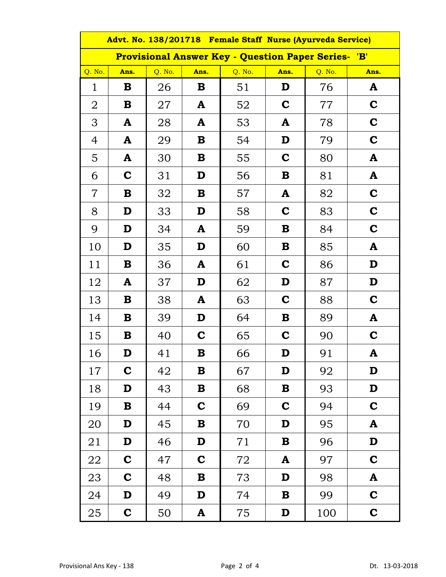| Advt. No. 138/201718 Female Staff Nurse (Ayurveda Service) |             |        |             |        |             |        |             |  |
|------------------------------------------------------------|-------------|--------|-------------|--------|-------------|--------|-------------|--|
| <b>Provisional Answer Key - Question Paper Series- 'B'</b> |             |        |             |        |             |        |             |  |
| Q. No.                                                     | Ans.        | Q. No. | Ans.        | Q. No. | Ans.        | Q. No. | Ans.        |  |
| $\mathbf{1}$                                               | B           | 26     | B           | 51     | D           | 76     | A           |  |
| $\overline{2}$                                             | B           | 27     | A           | 52     | C           | 77     | C           |  |
| 3                                                          | A           | 28     | A           | 53     | A           | 78     | $\mathbf C$ |  |
| $\overline{4}$                                             | A           | 29     | B           | 54     | D           | 79     | $\mathbf C$ |  |
| 5                                                          | A           | 30     | B           | 55     | $\mathbf C$ | 80     | A           |  |
| 6                                                          | $\mathbf C$ | 31     | D           | 56     | B           | 81     | A           |  |
| $\overline{7}$                                             | B           | 32     | В           | 57     | A           | 82     | C           |  |
| 8                                                          | D           | 33     | D           | 58     | $\mathbf C$ | 83     | C           |  |
| 9                                                          | D           | 34     | A           | 59     | B           | 84     | C           |  |
| 10                                                         | D           | 35     | D           | 60     | B           | 85     | A           |  |
| 11                                                         | B           | 36     | A           | 61     | C           | 86     | D           |  |
| 12                                                         | A           | 37     | D           | 62     | D           | 87     | D           |  |
| 13                                                         | В           | 38     | A           | 63     | $\mathbf C$ | 88     | $\mathbf C$ |  |
| 14                                                         | В           | 39     | D           | 64     | B           | 89     | A           |  |
| 15                                                         | В           | 40     | $\mathbf C$ | 65     | $\mathbf C$ | 90     | $\mathbf C$ |  |
| 16                                                         | D           | 41     | B           | 66     | D           | 91     | A           |  |
| 17                                                         | $\mathbf C$ | 42     | ${\bf B}$   | 67     | D           | 92     | D           |  |
| 18                                                         | D           | 43     | $\bf{B}$    | 68     | $\bf{B}$    | 93     | D           |  |
| 19                                                         | $\bf{B}$    | 44     | $\mathbf C$ | 69     | $\mathbf C$ | 94     | $\mathbf C$ |  |
| 20                                                         | D           | 45     | $\bf{B}$    | 70     | D           | 95     | A           |  |
| 21                                                         | D           | 46     | D           | 71     | $\mathbf B$ | 96     | D           |  |
| 22                                                         | $\mathbf C$ | 47     | $\mathbf C$ | 72     | A           | 97     | $\mathbf C$ |  |
| 23                                                         | $\mathbf C$ | 48     | В           | 73     | D           | 98     | A           |  |
| 24                                                         | D           | 49     | D           | 74     | В           | 99     | $\mathbf C$ |  |
| 25                                                         | $\mathbf C$ | 50     | A           | 75     | D           | 100    | $\mathbf C$ |  |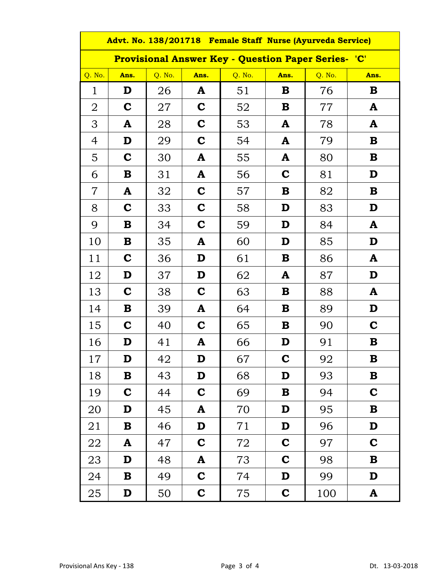| Advt. No. 138/201718 Female Staff Nurse (Ayurveda Service) |             |        |             |        |             |        |              |  |
|------------------------------------------------------------|-------------|--------|-------------|--------|-------------|--------|--------------|--|
| <b>Provisional Answer Key - Question Paper Series- 'C'</b> |             |        |             |        |             |        |              |  |
| Q. No.                                                     | Ans.        | Q. No. | Ans.        | Q. No. | Ans.        | Q. No. | Ans.         |  |
| $\mathbf 1$                                                | D           | 26     | A           | 51     | B           | 76     | B            |  |
| $\overline{2}$                                             | $\mathbf C$ | 27     | C           | 52     | В           | 77     | A            |  |
| 3                                                          | A           | 28     | C           | 53     | A           | 78     | A            |  |
| $\overline{4}$                                             | D           | 29     | C           | 54     | A           | 79     | B            |  |
| 5                                                          | $\mathbf C$ | 30     | A           | 55     | A           | 80     | B            |  |
| 6                                                          | B           | 31     | A           | 56     | $\mathbf C$ | 81     | D            |  |
| $\overline{7}$                                             | A           | 32     | C           | 57     | B           | 82     | B            |  |
| 8                                                          | $\mathbf C$ | 33     | C           | 58     | D           | 83     | D            |  |
| 9                                                          | B           | 34     | C           | 59     | D           | 84     | A            |  |
| 10                                                         | В           | 35     | A           | 60     | D           | 85     | D            |  |
| 11                                                         | $\mathbf C$ | 36     | D           | 61     | В           | 86     | A            |  |
| 12                                                         | D           | 37     | D           | 62     | A           | 87     | D            |  |
| 13                                                         | $\mathbf C$ | 38     | C           | 63     | В           | 88     | A            |  |
| 14                                                         | В           | 39     | A           | 64     | В           | 89     | D            |  |
| 15                                                         | $\mathbf C$ | 40     | C           | 65     | B           | 90     | C            |  |
| 16                                                         | D           | 41     | A           | 66     | D           | 91     | B            |  |
| $17\,$                                                     | D           | 42     | D           | 67     | C           | 92     | B            |  |
| 18                                                         | В           | 43     | D           | 68     | D           | 93     | B            |  |
| 19                                                         | $\mathbf C$ | 44     | $\mathbf C$ | 69     | В           | 94     | $\mathbf C$  |  |
| 20                                                         | D           | 45     | A           | 70     | D           | 95     | B            |  |
| 21                                                         | $\bf{B}$    | 46     | D           | 71     | D           | 96     | D            |  |
| 22                                                         | A           | 47     | $\mathbf C$ | 72     | $\mathbf C$ | 97     | $\mathbf C$  |  |
| 23                                                         | D           | 48     | A           | 73     | $\mathbf C$ | 98     | B            |  |
| 24                                                         | В           | 49     | $\mathbf C$ | 74     | D           | 99     | D            |  |
| 25                                                         | D           | 50     | $\mathbf C$ | 75     | $\mathbf C$ | 100    | $\mathbf{A}$ |  |